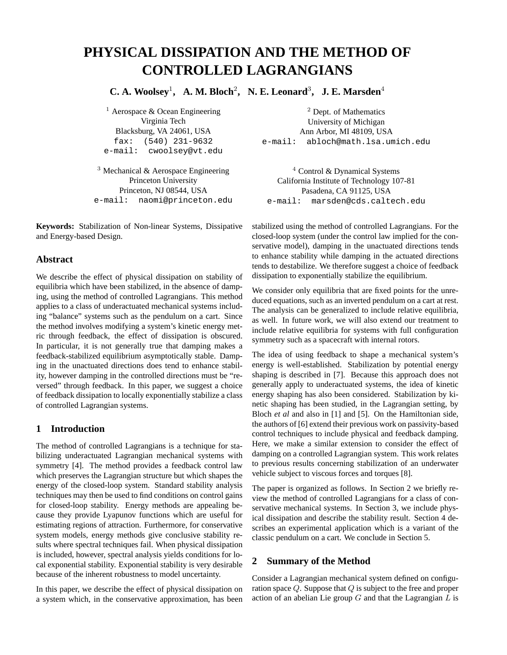# **PHYSICAL DISSIPATION AND THE METHOD OF CONTROLLED LAGRANGIANS**

**C. A. Woolsey**<sup>1</sup> **, A. M. Bloch**<sup>2</sup> **, N. E. Leonard**<sup>3</sup> **, J. E. Marsden**<sup>4</sup>

<sup>1</sup> Aerospace  $\&$  Ocean Engineering Virginia Tech Blacksburg, VA 24061, USA fax: (540) 231-9632 e-mail: cwoolsey@vt.edu

 $3$  Mechanical & Aerospace Engineering Princeton University Princeton, NJ 08544, USA e-mail: naomi@princeton.edu

**Keywords:** Stabilization of Non-linear Systems, Dissipative and Energy-based Design.

## **Abstract**

We describe the effect of physical dissipation on stability of equilibria which have been stabilized, in the absence of damping, using the method of controlled Lagrangians. This method applies to a class of underactuated mechanical systems including "balance" systems such as the pendulum on a cart. Since the method involves modifying a system's kinetic energy metric through feedback, the effect of dissipation is obscured. In particular, it is not generally true that damping makes a feedback-stabilized equilibrium asymptotically stable. Damping in the unactuated directions does tend to enhance stability, however damping in the controlled directions must be "reversed" through feedback. In this paper, we suggest a choice of feedback dissipation to locally exponentially stabilize a class of controlled Lagrangian systems.

## **1 Introduction**

The method of controlled Lagrangians is a technique for stabilizing underactuated Lagrangian mechanical systems with symmetry [4]. The method provides a feedback control law which preserves the Lagrangian structure but which shapes the energy of the closed-loop system. Standard stability analysis techniques may then be used to find conditions on control gains for closed-loop stability. Energy methods are appealing because they provide Lyapunov functions which are useful for estimating regions of attraction. Furthermore, for conservative system models, energy methods give conclusive stability results where spectral techniques fail. When physical dissipation is included, however, spectral analysis yields conditions for local exponential stability. Exponential stability is very desirable because of the inherent robustness to model uncertainty.

In this paper, we describe the effect of physical dissipation on a system which, in the conservative approximation, has been

<sup>2</sup> Dept. of Mathematics University of Michigan Ann Arbor, MI 48109, USA e-mail: abloch@math.lsa.umich.edu

<sup>4</sup> Control & Dynamical Systems California Institute of Technology 107-81 Pasadena, CA 91125, USA e-mail: marsden@cds.caltech.edu

stabilized using the method of controlled Lagrangians. For the closed-loop system (under the control law implied for the conservative model), damping in the unactuated directions tends to enhance stability while damping in the actuated directions tends to destabilize. We therefore suggest a choice of feedback dissipation to exponentially stabilize the equilibrium.

We consider only equilibria that are fixed points for the unreduced equations, such as an inverted pendulum on a cart at rest. The analysis can be generalized to include relative equilibria, as well. In future work, we will also extend our treatment to include relative equilibria for systems with full configuration symmetry such as a spacecraft with internal rotors.

The idea of using feedback to shape a mechanical system's energy is well-established. Stabilization by potential energy shaping is described in [7]. Because this approach does not generally apply to underactuated systems, the idea of kinetic energy shaping has also been considered. Stabilization by kinetic shaping has been studied, in the Lagrangian setting, by Bloch *et al* and also in [1] and [5]. On the Hamiltonian side, the authors of [6] extend their previous work on passivity-based control techniques to include physical and feedback damping. Here, we make a similar extension to consider the effect of damping on a controlled Lagrangian system. This work relates to previous results concerning stabilization of an underwater vehicle subject to viscous forces and torques [8].

The paper is organized as follows. In Section 2 we briefly review the method of controlled Lagrangians for a class of conservative mechanical systems. In Section 3, we include physical dissipation and describe the stability result. Section 4 describes an experimental application which is a variant of the classic pendulum on a cart. We conclude in Section 5.

## **2 Summary of the Method**

Consider a Lagrangian mechanical system defined on configuration space  $Q$ . Suppose that  $Q$  is subject to the free and proper action of an abelian Lie group  $G$  and that the Lagrangian  $L$  is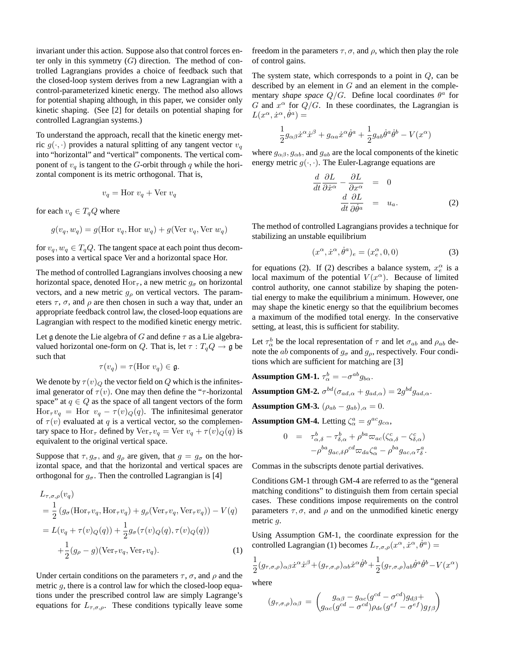invariant under this action. Suppose also that control forces enter only in this symmetry  $(G)$  direction. The method of controlled Lagrangians provides a choice of feedback such that the closed-loop system derives from a new Lagrangian with a control-parameterized kinetic energy. The method also allows for potential shaping although, in this paper, we consider only kinetic shaping. (See [2] for details on potential shaping for controlled Lagrangian systems.)

To understand the approach, recall that the kinetic energy metric  $g(\cdot, \cdot)$  provides a natural splitting of any tangent vector  $v_q$ into "horizontal" and "vertical" components. The vertical component of  $v_q$  is tangent to the G-orbit through q while the horizontal component is its metric orthogonal. That is,

$$
v_q = \text{Hor } v_q + \text{Ver } v_q
$$

for each  $v_q \in T_q Q$  where

$$
g(v_q, w_q) = g(\text{Hor } v_q, \text{Hor } w_q) + g(\text{Ver } v_q, \text{Ver } w_q)
$$

for  $v_q, w_q \in T_qQ$ . The tangent space at each point thus decomposes into a vertical space Ver and a horizontal space Hor.

The method of controlled Lagrangians involves choosing a new horizontal space, denoted Hor<sub> $\tau$ </sub>, a new metric  $g_{\sigma}$  on horizontal vectors, and a new metric  $g<sub>\rho</sub>$  on vertical vectors. The parameters  $\tau$ ,  $\sigma$ , and  $\rho$  are then chosen in such a way that, under an appropriate feedback control law, the closed-loop equations are Lagrangian with respect to the modified kinetic energy metric.

Let g denote the Lie algebra of G and define  $\tau$  as a Lie algebravalued horizontal one-form on Q. That is, let  $\tau : T_qQ \to \mathfrak{g}$  be such that

$$
\tau(v_q) = \tau(\text{Hor } v_q) \in \mathfrak{g}.
$$

We denote by  $\tau(v)_Q$  the vector field on Q which is the infinitesimal generator of  $\tau(v)$ . One may then define the " $\tau$ -horizontal space" at  $q \in Q$  as the space of all tangent vectors of the form  $\text{Hor}_{\tau} v_q = \text{Hor} \ v_q - \tau(v)_{Q}(q)$ . The infinitesimal generator of  $\tau(v)$  evaluated at q is a vertical vector, so the complementary space to Hor<sub> $\tau$ </sub> defined by Ver<sub> $\tau v_q$ </sub> = Ver  $v_q + \tau(v)_Q(q)$  is equivalent to the original vertical space.

Suppose that  $\tau$ ,  $g_{\sigma}$ , and  $g_{\rho}$  are given, that  $g = g_{\sigma}$  on the horizontal space, and that the horizontal and vertical spaces are orthogonal for  $g_{\sigma}$ . Then the controlled Lagrangian is [4]

$$
L_{\tau,\sigma,\rho}(v_q)
$$
  
=  $\frac{1}{2} (g_{\sigma}(\text{Hor}_{\tau}v_q, \text{Hor}_{\tau}v_q) + g_{\rho}(\text{Ver}_{\tau}v_q, \text{Ver}_{\tau}v_q)) - V(q)$   
=  $L(v_q + \tau(v)_Q(q)) + \frac{1}{2}g_{\sigma}(\tau(v)_Q(q), \tau(v)_Q(q))$   
+  $\frac{1}{2}(g_{\rho} - g)(\text{Ver}_{\tau}v_q, \text{Ver}_{\tau}v_q).$  (1)

Under certain conditions on the parameters  $\tau$ ,  $\sigma$ , and  $\rho$  and the metric  $q$ , there is a control law for which the closed-loop equations under the prescribed control law are simply Lagrange's equations for  $L_{\tau,\sigma,\rho}$ . These conditions typically leave some

freedom in the parameters  $\tau$ ,  $\sigma$ , and  $\rho$ , which then play the role of control gains.

The system state, which corresponds to a point in  $Q$ , can be described by an element in  $G$  and an element in the complementary *shape space*  $Q/G$ . Define local coordinates  $\theta^a$  for G and  $x^{\alpha}$  for  $Q/G$ . In these coordinates, the Lagrangian is  $L(x^{\alpha}, \dot{x}^{\alpha}, \dot{\theta}^{\dot{a}}) =$ 

$$
\frac{1}{2}g_{\alpha\beta}\dot{x}^\alpha\dot{x}^\beta+g_{\alpha a}\dot{x}^\alpha\dot{\theta}^a+\frac{1}{2}g_{ab}\dot{\theta}^a\dot{\theta}^b-V(x^\alpha)
$$

where  $g_{\alpha\beta}$ ,  $g_{\alpha b}$ , and  $g_{ab}$  are the local components of the kinetic energy metric  $g(\cdot, \cdot)$ . The Euler-Lagrange equations are

$$
\frac{d}{dt}\frac{\partial L}{\partial \dot{x}^{\alpha}} - \frac{\partial L}{\partial x^{\alpha}} = 0
$$
\n
$$
\frac{d}{dt}\frac{\partial L}{\partial \dot{\theta}^{\dot{a}}} = u_a.
$$
\n(2)

The method of controlled Lagrangians provides a technique for stabilizing an unstable equilibrium

$$
(x^{\alpha}, \dot{x}^{\alpha}, \dot{\theta}^{a})_{e} = (x_{e}^{\alpha}, 0, 0)
$$
 (3)

for equations (2). If (2) describes a balance system,  $x_e^{\alpha}$  is a local maximum of the potential  $V(x^{\alpha})$ . Because of limited control authority, one cannot stabilize by shaping the potential energy to make the equilibrium a minimum. However, one may shape the kinetic energy so that the equilibrium becomes a maximum of the modified total energy. In the conservative setting, at least, this is sufficient for stability.

Let  $\tau_\alpha^b$  be the local representation of  $\tau$  and let  $\sigma_{ab}$  and  $\rho_{ab}$  denote the *ab* components of  $g_{\sigma}$  and  $g_{\rho}$ , respectively. Four conditions which are sufficient for matching are [3]

Assumption GM-1. 
$$
\tau_{\alpha}^{b} = -\sigma^{ab} g_{b\alpha}
$$
.  
Assumption GM-2.  $\sigma^{bd} (\sigma_{ad,\alpha} + g_{ad,\alpha}) = 2g^{bd} g_{ad,\alpha}$ .  
Assumption GM-3.  $(\rho_{ab} - g_{ab})_{,\alpha} = 0$ .

**Assumption GM-4.** Letting  $\zeta_{\alpha}^{a} = g^{ac} g_{c\alpha}$ ,

$$
0 = \tau_{\alpha,\delta}^b - \tau_{\delta,\alpha}^b + \rho^{ba} \varpi_{ac} (\zeta_{\alpha,\delta}^c - \zeta_{\delta,\alpha}^c) - \rho^{ba} g_{ac,\delta} \rho^{cd} \varpi_{da} \zeta_{\alpha}^a - \rho^{ba} g_{ac,\alpha} \tau_{\delta}^a.
$$

Commas in the subscripts denote partial derivatives.

Conditions GM-1 through GM-4 are referred to as the "general matching conditions" to distinguish them from certain special cases. These conditions impose requirements on the control parameters  $\tau$ ,  $\sigma$ , and  $\rho$  and on the unmodified kinetic energy metric q.

Using Assumption GM-1, the coordinate expression for the controlled Lagrangian (1) becomes  $L_{\tau,\sigma,\rho}(x^{\alpha}, \dot{x}^{\alpha}, \dot{\theta}^{a}) =$ 

$$
\frac{1}{2}(g_{\tau,\sigma,\rho})_{\alpha\beta}\dot{x}^{\alpha}\dot{x}^{\beta}+(g_{\tau,\sigma,\rho})_{\alpha b}\dot{x}^{\alpha}\dot{\theta}^{b}+\frac{1}{2}(g_{\tau,\sigma,\rho})_{ab}\dot{\theta}^{a}\dot{\theta}^{b}-V(x^{\alpha})
$$

where

$$
(g_{\tau,\sigma,\rho})_{\alpha\beta} = \begin{pmatrix} g_{\alpha\beta} - g_{\alpha c} (g^{cd} - \sigma^{cd}) g_{d\beta} + \\ g_{\alpha c} (g^{cd} - \sigma^{cd}) \rho_{de} (g^{ef} - \sigma^{ef}) g_{f\beta} \end{pmatrix}
$$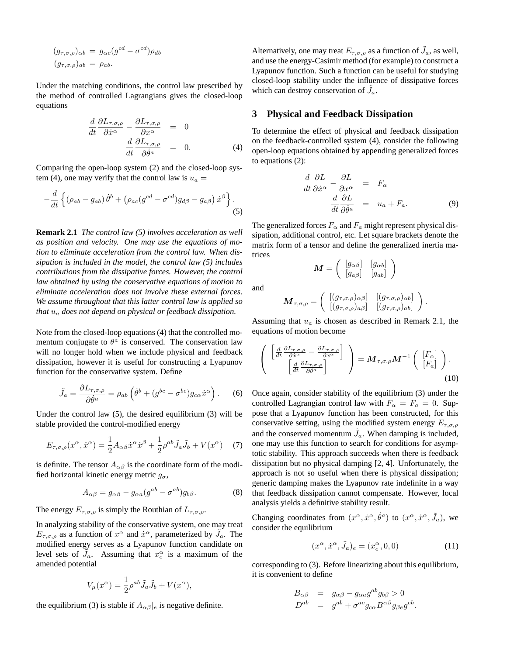$$
(g_{\tau,\sigma,\rho})_{\alpha b} = g_{\alpha c}(g^{cd} - \sigma^{cd})\rho_{db}
$$

$$
(g_{\tau,\sigma,\rho})_{ab} = \rho_{ab}.
$$

Under the matching conditions, the control law prescribed by the method of controlled Lagrangians gives the closed-loop equations

$$
\frac{d}{dt}\frac{\partial L_{\tau,\sigma,\rho}}{\partial \dot{x}^{\alpha}} - \frac{\partial L_{\tau,\sigma,\rho}}{\partial x^{\alpha}} = 0
$$
\n
$$
\frac{d}{dt}\frac{\partial L_{\tau,\sigma,\rho}}{\partial \dot{\theta}^{\alpha}} = 0.
$$
\n(4)

Comparing the open-loop system (2) and the closed-loop system (4), one may verify that the control law is  $u_a =$ 

$$
-\frac{d}{dt}\left\{(\rho_{ab}-g_{ab})\dot{\theta}^b+(\rho_{ac}(g^{cd}-\sigma^{cd})g_{d\beta}-g_{a\beta})\dot{x}^{\beta}\right\}.
$$
\n(5)

**Remark 2.1** *The control law (5) involves acceleration as well as position and velocity. One may use the equations of motion to eliminate acceleration from the control law. When dissipation is included in the model, the control law (5) includes contributions from the dissipative forces. However, the control law obtained by using the conservative equations of motion to eliminate acceleration does not involve these external forces. We assume throughout that this latter control law is applied so that* u<sup>a</sup> *does not depend on physical or feedback dissipation.*

Note from the closed-loop equations (4) that the controlled momentum conjugate to  $\theta^a$  is conserved. The conservation law will no longer hold when we include physical and feedback dissipation, however it is useful for constructing a Lyapunov function for the conservative system. Define

$$
\tilde{J}_a = \frac{\partial L_{\tau,\sigma,\rho}}{\partial \dot{\theta}^a} = \rho_{ab} \left( \dot{\theta}^b + (g^{bc} - \sigma^{bc}) g_{c\alpha} \dot{x}^\alpha \right). \tag{6}
$$

Under the control law (5), the desired equilibrium (3) will be stable provided the control-modified energy

$$
E_{\tau,\sigma,\rho}(x^{\alpha}, \dot{x}^{\alpha}) = \frac{1}{2} A_{\alpha\beta} \dot{x}^{\alpha} \dot{x}^{\beta} + \frac{1}{2} \rho^{ab} \tilde{J}_a \tilde{J}_b + V(x^{\alpha}) \quad (7)
$$

is definite. The tensor  $A_{\alpha\beta}$  is the coordinate form of the modified horizontal kinetic energy metric  $g_{\sigma}$ ,

$$
A_{\alpha\beta} = g_{\alpha\beta} - g_{\alpha a} (g^{ab} - \sigma^{ab}) g_{b\beta}.
$$
 (8)

The energy  $E_{\tau,\sigma,\rho}$  is simply the Routhian of  $L_{\tau,\sigma,\rho}$ .

In analyzing stability of the conservative system, one may treat  $E_{\tau,\sigma,\rho}$  as a function of  $x^{\alpha}$  and  $\dot{x}^{\alpha}$ , parameterized by  $\tilde{J}_a$ . The modified energy serves as a Lyapunov function candidate on level sets of  $\tilde{J}_a$ . Assuming that  $x_e^{\alpha}$  is a maximum of the amended potential

$$
V_{\mu}(x^{\alpha}) = \frac{1}{2}\rho^{ab}\tilde{J}_a\tilde{J}_b + V(x^{\alpha}),
$$

the equilibrium (3) is stable if  $A_{\alpha\beta}|_e$  is negative definite.

Alternatively, one may treat  $E_{\tau,\sigma,\rho}$  as a function of  $\tilde{J}_a$ , as well, and use the energy-Casimir method (for example) to construct a Lyapunov function. Such a function can be useful for studying closed-loop stability under the influence of dissipative forces which can destroy conservation of  $\tilde{J}_a$ .

#### **3 Physical and Feedback Dissipation**

To determine the effect of physical and feedback dissipation on the feedback-controlled system (4), consider the following open-loop equations obtained by appending generalized forces to equations (2):

$$
\frac{d}{dt}\frac{\partial L}{\partial \dot{x}^{\alpha}} - \frac{\partial L}{\partial x^{\alpha}} = F_{\alpha}
$$
\n
$$
\frac{d}{dt}\frac{\partial L}{\partial \dot{\theta}^{a}} = u_{a} + F_{a}.
$$
\n(9)

.

The generalized forces  $F_{\alpha}$  and  $F_{\alpha}$  might represent physical dissipation, additional control, etc. Let square brackets denote the matrix form of a tensor and define the generalized inertia matrices  $\setminus$ 

$$
\boldsymbol{M} = \left( \begin{array}{cc} [g_{\alpha\beta}] & [g_{\alpha b}] \\ [g_{a\beta}] & [g_{ab}] \end{array} \right)
$$

and

$$
\boldsymbol{M}_{\tau,\sigma,\rho} = \left( \begin{array}{cc} [(g_{\tau,\sigma,\rho})_{\alpha\beta}] & [(g_{\tau,\sigma,\rho})_{\alpha b}] \\ [(g_{\tau,\sigma,\rho})_{a\beta}] & [(g_{\tau,\sigma,\rho})_{ab}] \end{array} \right)
$$

Assuming that  $u_a$  is chosen as described in Remark 2.1, the equations of motion become

$$
\begin{pmatrix}\n\left[\frac{d}{dt}\frac{\partial L_{\tau,\sigma,\rho}}{\partial \dot{x}^{\alpha}} - \frac{\partial L_{\tau,\sigma,\rho}}{\partial x^{\alpha}}\right] \\
\left[\frac{d}{dt}\frac{\partial L_{\tau,\sigma,\rho}}{\partial \dot{\theta}^{\alpha}}\right]\n\end{pmatrix} = \boldsymbol{M}_{\tau,\sigma,\rho} \boldsymbol{M}^{-1} \begin{pmatrix} [F_{\alpha}] \\
[F_{a}] \end{pmatrix}.
$$
\n(10)

Once again, consider stability of the equilibrium (3) under the controlled Lagrangian control law with  $F_{\alpha} = F_a = 0$ . Suppose that a Lyapunov function has been constructed, for this conservative setting, using the modified system energy  $E_{\tau,\sigma,\rho}$ and the conserved momentum  $\tilde{J}_a$ . When damping is included, one may use this function to search for conditions for asymptotic stability. This approach succeeds when there is feedback dissipation but no physical damping [2, 4]. Unfortunately, the approach is not so useful when there is physical dissipation; generic damping makes the Lyapunov rate indefinite in a way that feedback dissipation cannot compensate. However, local analysis yields a definitive stability result.

Changing coordinates from  $(x^{\alpha}, \dot{x}^{\alpha}, \dot{\theta}^{\dot{a}})$  to  $(x^{\alpha}, \dot{x}^{\alpha}, \ddot{J}_a)$ , we consider the equilibrium

$$
(x^{\alpha}, \dot{x}^{\alpha}, \tilde{J}_a)_e = (x_e^{\alpha}, 0, 0)
$$
 (11)

corresponding to (3). Before linearizing about this equilibrium, it is convenient to define

$$
B_{\alpha\beta} = g_{\alpha\beta} - g_{\alpha a}g^{ab}g_{b\beta} > 0
$$
  
\n
$$
D^{ab} = g^{ab} + \sigma^{ac}g_{c\alpha}B^{\alpha\beta}g_{\beta e}g^{eb}.
$$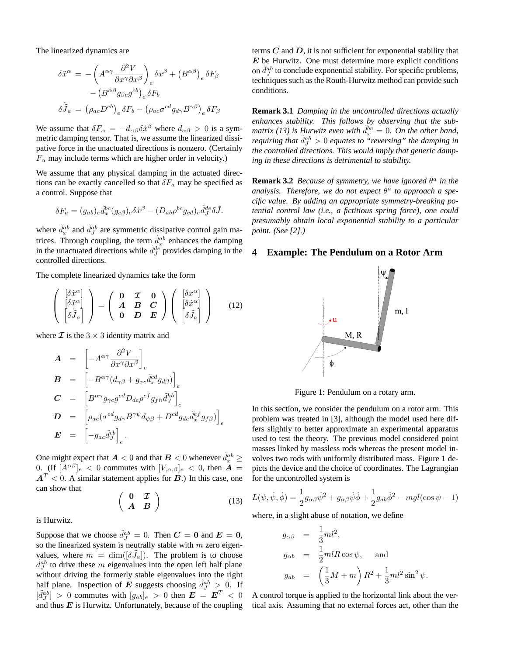The linearized dynamics are

$$
\delta \ddot{x}^{\alpha} = -\left(A^{\alpha\gamma} \frac{\partial^2 V}{\partial x^{\gamma} \partial x^{\beta}}\right)_{e} \delta x^{\beta} + \left(B^{\alpha\beta}\right)_{e} \delta F_{\beta}
$$

$$
- \left(B^{\alpha\beta} g_{\beta c} g^{cb}\right)_{e} \delta F_{b}
$$

$$
\delta \dot{\tilde{J}}_{a} = \left(\rho_{ac} D^{cb}\right)_{e} \delta F_{b} - \left(\rho_{ac} \sigma^{cd} g_{d\gamma} B^{\gamma\beta}\right)_{e} \delta F_{\beta}
$$

We assume that  $\delta F_{\alpha} = -d_{\alpha\beta} \delta \dot{x}^{\beta}$  where  $d_{\alpha\beta} > 0$  is a symmetric damping tensor. That is, we assume the linearized dissipative force in the unactuated directions is nonzero. (Certainly  $F_{\alpha}$  may include terms which are higher order in velocity.)

We assume that any physical damping in the actuated directions can be exactly cancelled so that  $\delta F_a$  may be specified as a control. Suppose that

$$
\delta F_a = (g_{ab})_e \tilde{d}^{bc}_x (g_{c\beta})_e \delta \dot{x}^{\beta} - (D_{ab}\rho^{bc}g_{cd})_e \tilde{d}^{de}_J \delta \tilde{J}.
$$

where  $\tilde{d}_x^{ab}$  and  $\tilde{d}_J^{ab}$  are symmetric dissipative control gain matrices. Through coupling, the term  $\tilde{d}_x^{ab}$  enhances the damping in the unactuated directions while  $\tilde{d}^{de}_{J}$  provides damping in the controlled directions.

The complete linearized dynamics take the form

$$
\begin{pmatrix}\n\left[\delta \dot{x}^{\alpha}\right] \\
\left[\delta \ddot{x}^{\alpha}\right] \\
\left[\delta \ddot{J}_{a}\right]\n\end{pmatrix} = \begin{pmatrix}\n\mathbf{0} & \mathbf{\mathcal{I}} & \mathbf{0} \\
\mathbf{A} & \mathbf{B} & \mathbf{C} \\
\mathbf{0} & \mathbf{D} & \mathbf{E}\n\end{pmatrix} \begin{pmatrix}\n\left[\delta x^{\alpha}\right] \\
\left[\delta \dot{x}^{\alpha}\right] \\
\left[\delta \ddot{J}_{a}\right]\n\end{pmatrix}
$$
\n(12)

where  $\mathcal I$  is the 3  $\times$  3 identity matrix and

$$
\begin{array}{rcl}\n\mathbf{A} & = & \left[ -A^{\alpha\gamma} \frac{\partial^2 V}{\partial x^\gamma \partial x^\beta} \right]_e \\
\mathbf{B} & = & \left[ -B^{\alpha\gamma} (d_{\gamma\beta} + g_{\gamma c} \tilde{d}_x^{cd} g_{d\beta}) \right]_e \\
\mathbf{C} & = & \left[ B^{\alpha\gamma} g_{\gamma c} g^{cd} D_{de} \rho^{ef} g_{fh} \tilde{d}_J^{hb} \right]_e \\
\mathbf{D} & = & \left[ \rho_{ac} (\sigma^{cd} g_{d\gamma} B^{\gamma\psi} d_{\psi\beta} + D^{cd} g_{de} \tilde{d}_x^{ef} g_{f\beta}) \right]_e \\
\mathbf{E} & = & \left[ -g_{ac} \tilde{d}_J^{cb} \right]_e.\n\end{array}
$$

One might expect that  $A < 0$  and that  $B < 0$  whenever  $\tilde{d}_x^{ab} \ge 0$ . (If  $[A^{\alpha\beta}]_e < 0$  commutes with  $[V_{,\alpha,\beta}]_e < 0$ , then  $A =$  $A<sup>T</sup> < 0$ . A similar statement applies for B.) In this case, one can show that

$$
\left(\begin{array}{cc} 0 & \mathcal{I} \\ A & B \end{array}\right) \tag{13}
$$

is Hurwitz.

Suppose that we choose  $\tilde{d}_{J}^{ab} = 0$ . Then  $C = 0$  and  $E = 0$ , so the linearized system is neutrally stable with  $m$  zero eigenvalues, where  $m = \dim([\delta \tilde{J}_a])$ . The problem is to choose  $\tilde{d}^{ab}_{J}$  to drive these m eigenvalues into the open left half plane without driving the formerly stable eigenvalues into the right half plane. Inspection of **E** suggests choosing  $\tilde{d}_J^{ab} > 0$ . If  $[\tilde{d}_J^{ab}] > 0$  commutes with  $[g_{ab}]_e > 0$  then  $\boldsymbol{E} = \boldsymbol{E}^T < 0$ and thus  $E$  is Hurwitz. Unfortunately, because of the coupling terms  $C$  and  $D$ , it is not sufficient for exponential stability that  $E$  be Hurwitz. One must determine more explicit conditions on  $\tilde{d}^{ab}_J$  to conclude exponential stability. For specific problems, techniques such as the Routh-Hurwitz method can provide such conditions.

**Remark 3.1** *Damping in the uncontrolled directions actually enhances stability. This follows by observing that the submatrix (13) is Hurwitz even with*  $\tilde{d}_x^{bc} = 0$ . On the other hand, *requiring that*  $\tilde{d}_{J}^{ab} > 0$  *equates to* "*reversing*" *the damping in the controlled directions. This would imply that generic damping in these directions is detrimental to stability.*

**Remark 3.2** *Because of symmetry, we have ignored*  $\theta^a$  *in the analysis. Therefore, we do not expect* θ a *to approach a specific value. By adding an appropriate symmetry-breaking potential control law (i.e., a fictitious spring force), one could presumably obtain local exponential stability to a particular point. (See [2].)*

#### **4 Example: The Pendulum on a Rotor Arm**



Figure 1: Pendulum on a rotary arm.

In this section, we consider the pendulum on a rotor arm. This problem was treated in [3], although the model used here differs slightly to better approximate an experimental apparatus used to test the theory. The previous model considered point masses linked by massless rods whereas the present model involves two rods with uniformly distributed mass. Figure 1 depicts the device and the choice of coordinates. The Lagrangian for the uncontrolled system is

$$
L(\psi, \dot{\psi}, \dot{\phi}) = \frac{1}{2} g_{\alpha\beta} \dot{\psi}^2 + g_{\alpha\beta} \dot{\psi} \dot{\phi} + \frac{1}{2} g_{ab} \dot{\phi}^2 - mgl(\cos \psi - 1)
$$

where, in a slight abuse of notation, we define

$$
g_{\alpha\beta} = \frac{1}{3}ml^2,
$$
  
\n
$$
g_{\alpha b} = \frac{1}{2}mlR\cos\psi, \text{ and}
$$
  
\n
$$
g_{ab} = \left(\frac{1}{3}M+m\right)R^2 + \frac{1}{3}ml^2\sin^2\psi.
$$

A control torque is applied to the horizontal link about the vertical axis. Assuming that no external forces act, other than the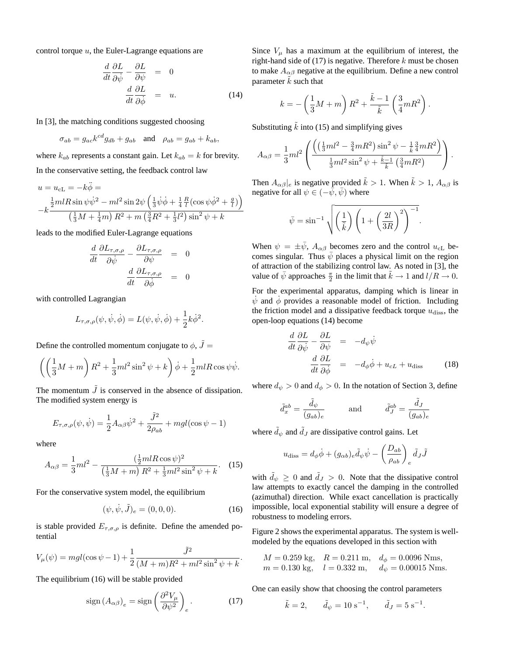control torque  $u$ , the Euler-Lagrange equations are

$$
\frac{d}{dt}\frac{\partial L}{\partial \dot{\psi}} - \frac{\partial L}{\partial \psi} = 0
$$
\n
$$
\frac{d}{dt}\frac{\partial L}{\partial \dot{\phi}} = u.
$$
\n(14)

In [3], the matching conditions suggested choosing

$$
\sigma_{ab} = g_{ac} k^{cd} g_{db} + g_{ab} \quad \text{and} \quad \rho_{ab} = g_{ab} + k_{ab},
$$

where  $k_{ab}$  represents a constant gain. Let  $k_{ab} = k$  for brevity. In the conservative setting, the feedback control law

$$
u = u_{cL} = -k\ddot{\phi} =
$$
  

$$
-k\frac{\frac{1}{2}mR\sin\psi\dot{\psi}^2 - ml^2\sin 2\psi\left(\frac{1}{3}\dot{\psi}\dot{\phi} + \frac{1}{4}\frac{R}{l}(\cos\psi\dot{\phi}^2 + \frac{g}{l})\right)}{\left(\frac{1}{3}M + \frac{1}{4}m\right)R^2 + m\left(\frac{3}{4}R^2 + \frac{1}{3}l^2\right)\sin^2\psi + k}
$$

leads to the modified Euler-Lagrange equations

$$
\frac{d}{dt}\frac{\partial L_{\tau,\sigma,\rho}}{\partial \dot{\psi}} - \frac{\partial L_{\tau,\sigma,\rho}}{\partial \psi} = 0
$$

$$
\frac{d}{dt}\frac{\partial L_{\tau,\sigma,\rho}}{\partial \dot{\phi}} = 0
$$

with controlled Lagrangian

$$
L_{\tau,\sigma,\rho}(\psi,\dot{\psi},\dot{\phi}) = L(\psi,\dot{\psi},\dot{\phi}) + \frac{1}{2}k\dot{\phi}^{2}.
$$

Define the controlled momentum conjugate to  $\phi$ ,  $\tilde{J} =$ 

$$
\left(\left(\frac{1}{3}M+m\right)R^2+\frac{1}{3}ml^2\sin^2\psi+k\right)\dot{\phi}+\frac{1}{2}mlR\cos\psi\dot{\psi}.
$$

The momentum  $\tilde{J}$  is conserved in the absence of dissipation. The modified system energy is

$$
E_{\tau,\sigma,\rho}(\psi,\dot{\psi}) = \frac{1}{2}A_{\alpha\beta}\dot{\psi}^2 + \frac{\tilde{J}^2}{2\rho_{ab}} + mgl(\cos\psi - 1)
$$

where

$$
A_{\alpha\beta} = \frac{1}{3}ml^2 - \frac{(\frac{1}{2}mlR\cos\psi)^2}{(\frac{1}{3}M+m)R^2 + \frac{1}{3}ml^2\sin^2\psi + k}.
$$
 (15)

For the conservative system model, the equilibrium

$$
(\psi, \dot{\psi}, \tilde{J})_e = (0, 0, 0). \tag{16}
$$

is stable provided  $E_{\tau,\sigma,\rho}$  is definite. Define the amended potential

$$
V_{\mu}(\psi) = mgl(\cos \psi - 1) + \frac{1}{2} \frac{\tilde{J}^2}{(M+m)R^2 + ml^2 \sin^2 \psi + k}.
$$

The equilibrium (16) will be stable provided

$$
\operatorname{sign}\left(A_{\alpha\beta}\right)_e = \operatorname{sign}\left(\frac{\partial^2 V_\mu}{\partial \psi^2}\right)_e. \tag{17}
$$

Since  $V_\mu$  has a maximum at the equilibrium of interest, the right-hand side of  $(17)$  is negative. Therefore k must be chosen to make  $A_{\alpha\beta}$  negative at the equilibrium. Define a new control parameter  $\tilde{k}$  such that

$$
k = -\left(\frac{1}{3}M + m\right)R^2 + \frac{\tilde{k} - 1}{\tilde{k}}\left(\frac{3}{4}mR^2\right).
$$

Substituting  $\tilde{k}$  into (15) and simplifying gives

$$
A_{\alpha\beta} = \frac{1}{3}ml^2 \left( \frac{\left( \left( \frac{1}{3}ml^2 - \frac{3}{4}mR^2 \right) \sin^2 \psi - \frac{1}{\tilde{k}} \frac{3}{4}mR^2 \right)}{\frac{1}{3}ml^2 \sin^2 \psi + \frac{\tilde{k}-1}{\tilde{k}} \left( \frac{3}{4}mR^2 \right)} \right).
$$

Then  $A_{\alpha\beta}|_e$  is negative provided  $\tilde{k} > 1$ . When  $\tilde{k} > 1$ ,  $A_{\alpha\beta}$  is negative for all  $\psi \in (-\bar{\psi}, \bar{\psi})$  where

$$
\bar{\psi} = \sin^{-1} \sqrt{\left(\frac{1}{\tilde{k}}\right) \left(1 + \left(\frac{2l}{3R}\right)^2\right)^{-1}}
$$

.

When  $\psi = \pm \bar{\psi}$ ,  $A_{\alpha\beta}$  becomes zero and the control  $u_{cL}$  becomes singular. Thus  $\bar{\psi}$  places a physical limit on the region of attraction of the stabilizing control law. As noted in [3], the value of  $\bar{\psi}$  approaches  $\frac{\pi}{2}$  in the limit that  $\tilde{k} \to 1$  and  $l/R \to 0$ .

For the experimental apparatus, damping which is linear in  $\dot{\psi}$  and  $\dot{\phi}$  provides a reasonable model of friction. Including the friction model and a dissipative feedback torque  $u<sub>diss</sub>$ , the open-loop equations (14) become

$$
\frac{d}{dt}\frac{\partial L}{\partial \dot{\psi}} - \frac{\partial L}{\partial \psi} = -d_{\psi}\dot{\psi}
$$
\n
$$
\frac{d}{dt}\frac{\partial L}{\partial \dot{\phi}} = -d_{\phi}\dot{\phi} + u_{cL} + u_{diss} \tag{18}
$$

where  $d_{\psi} > 0$  and  $d_{\phi} > 0$ . In the notation of Section 3, define

$$
\tilde{d}_x^{ab} = \frac{\tilde{d}_\psi}{(g_{ab})_e} \quad \text{and} \quad \tilde{d}_J^{ab} = \frac{\tilde{d}_J}{(g_{ab})_e}
$$

where  $\tilde{d}_{\psi}$  and  $\tilde{d}_{J}$  are dissipative control gains. Let

$$
u_{\text{diss}} = d_{\phi}\dot{\phi} + (g_{\alpha b})_e \tilde{d}_{\psi}\dot{\psi} - \left(\frac{D_{ab}}{\rho_{ab}}\right)_e \tilde{d}_J \tilde{J}
$$

with  $\tilde{d}_{\psi} \geq 0$  and  $\tilde{d}_{J} > 0$ . Note that the dissipative control law attempts to exactly cancel the damping in the controlled (azimuthal) direction. While exact cancellation is practically impossible, local exponential stability will ensure a degree of robustness to modeling errors.

Figure 2 shows the experimental apparatus. The system is wellmodeled by the equations developed in this section with

$$
M = 0.259
$$
 kg,  $R = 0.211$  m,  $d_{\phi} = 0.0096$  Nms,  
\n $m = 0.130$  kg,  $l = 0.332$  m,  $d_{\psi} = 0.00015$  Nms.

One can easily show that choosing the control parameters

$$
\tilde{k} = 2,
$$
  $\tilde{d}_{\psi} = 10 \text{ s}^{-1},$   $\tilde{d}_{J} = 5 \text{ s}^{-1}.$